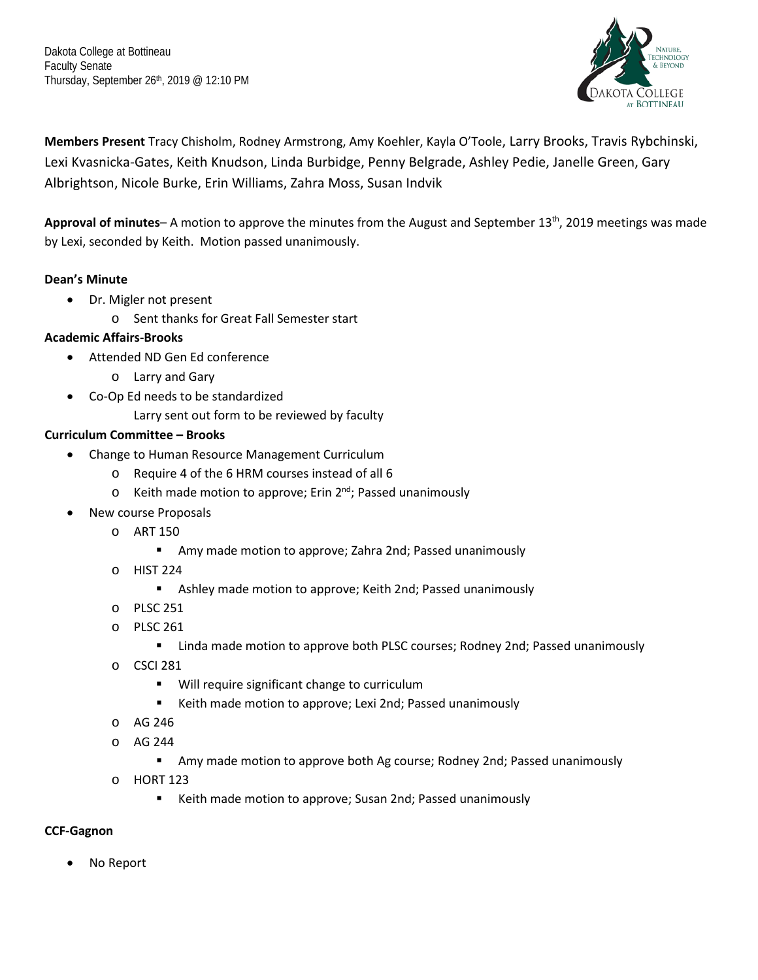Dakota College at Bottineau Faculty Senate Thursday, September 26th, 2019 @ 12:10 PM



**Members Present** Tracy Chisholm, Rodney Armstrong, Amy Koehler, Kayla O'Toole, Larry Brooks, Travis Rybchinski, Lexi Kvasnicka-Gates, Keith Knudson, Linda Burbidge, Penny Belgrade, Ashley Pedie, Janelle Green, Gary Albrightson, Nicole Burke, Erin Williams, Zahra Moss, Susan Indvik

**Approval of minutes**– A motion to approve the minutes from the August and September 13th, 2019 meetings was made by Lexi, seconded by Keith. Motion passed unanimously.

# **Dean's Minute**

- Dr. Migler not present
	- o Sent thanks for Great Fall Semester start

## **Academic Affairs-Brooks**

- Attended ND Gen Ed conference
	- o Larry and Gary
- Co-Op Ed needs to be standardized
	- Larry sent out form to be reviewed by faculty

## **Curriculum Committee – Brooks**

- Change to Human Resource Management Curriculum
	- o Require 4 of the 6 HRM courses instead of all 6
	- $\circ$  Keith made motion to approve; Erin 2<sup>nd</sup>; Passed unanimously
- New course Proposals
	- o ART 150
		- Amy made motion to approve; Zahra 2nd; Passed unanimously
	- o HIST 224
		- Ashley made motion to approve; Keith 2nd; Passed unanimously
	- o PLSC 251
	- o PLSC 261
		- **EXTENDITY Linda made motion to approve both PLSC courses; Rodney 2nd; Passed unanimously**
	- o CSCI 281
		- **Will require significant change to curriculum**
		- Keith made motion to approve; Lexi 2nd; Passed unanimously
	- o AG 246
	- o AG 244
		- Amy made motion to approve both Ag course; Rodney 2nd; Passed unanimously
	- o HORT 123
		- Keith made motion to approve; Susan 2nd; Passed unanimously

### **CCF-Gagnon**

No Report